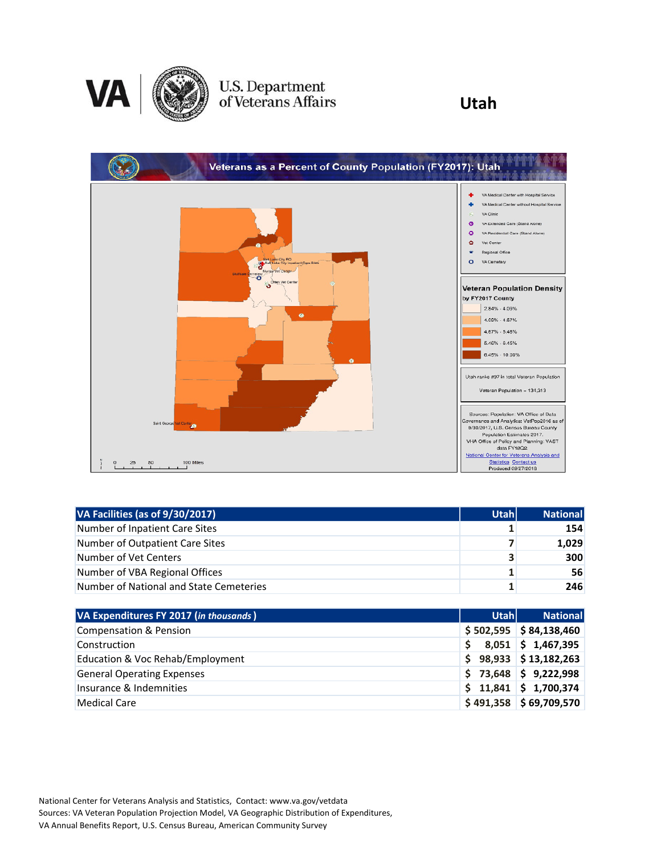

# U.S. Department<br>of Veterans Affairs

### **Utah**



| VA Facilities (as of 9/30/2017)         | <b>Utah</b> | <b>National</b> |
|-----------------------------------------|-------------|-----------------|
| Number of Inpatient Care Sites          |             | 154             |
| Number of Outpatient Care Sites         |             | 1,029           |
| Number of Vet Centers                   | 3           | 300             |
| Number of VBA Regional Offices          | 1           | 56              |
| Number of National and State Cemeteries |             | 246             |

| VA Expenditures FY 2017 (in thousands) | <b>Utahl</b> | <b>National</b>          |
|----------------------------------------|--------------|--------------------------|
| Compensation & Pension                 |              | $$502,595$ $$84,138,460$ |
| Construction                           | S            | $8,051$ \$ 1,467,395     |
| Education & Voc Rehab/Employment       |              | $$98,933$ $$13,182,263$  |
| <b>General Operating Expenses</b>      |              | $$73,648$ $$9,222,998$   |
| Insurance & Indemnities                |              | $$11,841$ $$1,700,374$   |
| Medical Care                           |              | $$491,358$ $$69,709,570$ |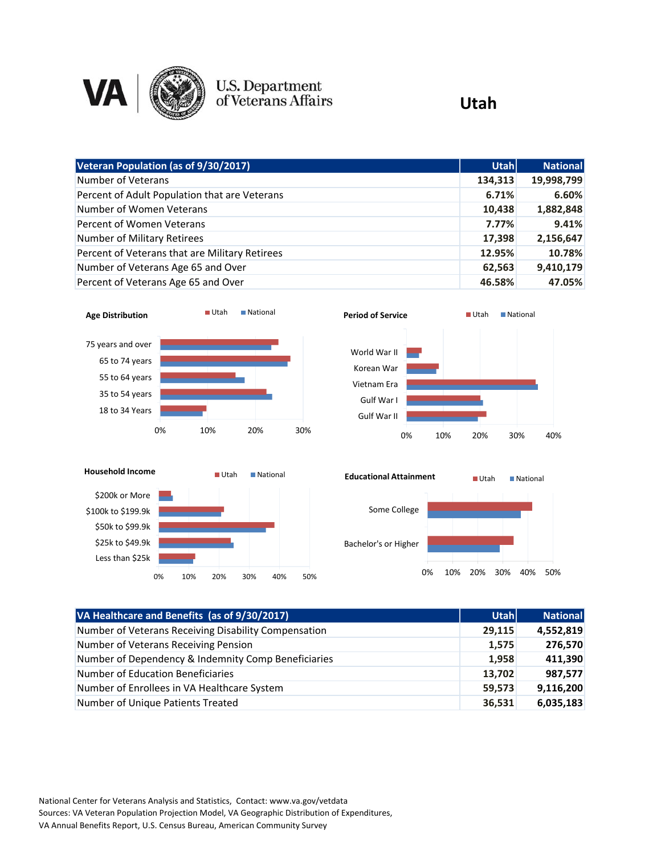

### U.S. Department<br>of Veterans Affairs

#### **Utah**

| Veteran Population (as of 9/30/2017)           | Utahl   | <b>National</b> |
|------------------------------------------------|---------|-----------------|
| Number of Veterans                             | 134,313 | 19,998,799      |
| Percent of Adult Population that are Veterans  | 6.71%   | 6.60%           |
| Number of Women Veterans                       | 10,438  | 1,882,848       |
| Percent of Women Veterans                      | 7.77%   | 9.41%           |
| Number of Military Retirees                    | 17,398  | 2,156,647       |
| Percent of Veterans that are Military Retirees | 12.95%  | 10.78%          |
| Number of Veterans Age 65 and Over             | 62,563  | 9,410,179       |
| Percent of Veterans Age 65 and Over            | 46.58%  | 47.05%          |







0% 10% 20% 30% 40% 50%

| VA Healthcare and Benefits (as of 9/30/2017)         | <b>Utahl</b> | <b>National</b> |
|------------------------------------------------------|--------------|-----------------|
| Number of Veterans Receiving Disability Compensation | 29,115       | 4,552,819       |
| Number of Veterans Receiving Pension                 | 1,575        | 276,570         |
| Number of Dependency & Indemnity Comp Beneficiaries  | 1,958        | 411,390         |
| Number of Education Beneficiaries                    | 13,702       | 987,577         |
| Number of Enrollees in VA Healthcare System          | 59,573       | 9,116,200       |
| Number of Unique Patients Treated                    | 36,531       | 6,035,183       |